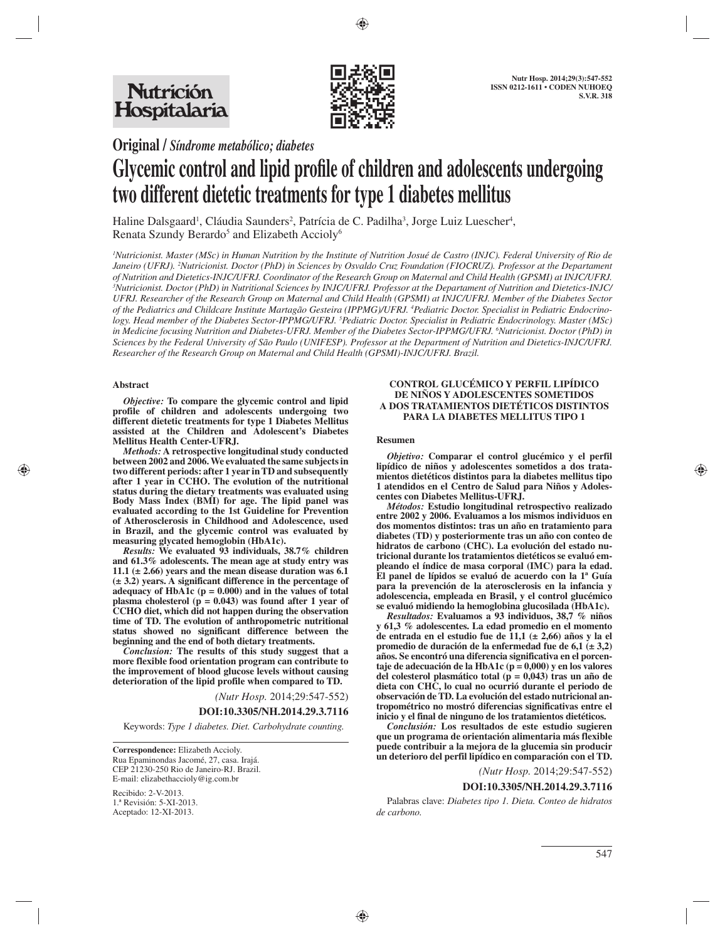

**Original /** *Síndrome metabólico; diabetes*

# **Glycemic control and lipid profile of children and adolescents undergoing two different dietetic treatments for type 1 diabetes mellitus**

Haline Dalsgaard<sup>1</sup>, Cláudia Saunders<sup>2</sup>, Patrícia de C. Padilha<sup>3</sup>, Jorge Luiz Luescher<sup>4</sup>, Renata Szundy Berardo<sup>5</sup> and Elizabeth Accioly<sup>6</sup>

<sup>1</sup>Nutricionist. Master (MSc) in Human Nutrition by the Institute of Nutrition Josué de Castro (INJC). Federal University of Rio de *Janeiro (UFRJ). 2 Nutricionist. Doctor (PhD) in Sciences by Osvaldo Cruz Foundation (FIOCRUZ). Professor at the Departament of Nutrition and Dietetics-INJC/UFRJ. Coordinator of the Research Group on Maternal and Child Health (GPSMI) at INJC/UFRJ. 3 Nutricionist. Doctor (PhD) in Nutritional Sciences by INJC/UFRJ. Professor at the Departament of Nutrition and Dietetics-INJC/ UFRJ. Researcher of the Research Group on Maternal and Child Health (GPSMI) at INJC/UFRJ. Member of the Diabetes Sector of the Pediatrics and Childcare Institute Martagão Gesteira (IPPMG)/UFRJ. 4 Pediatric Doctor. Specialist in Pediatric Endocrinology. Head member of the Diabetes Sector-IPPMG/UFRJ. 5 Pediatric Doctor. Specialist in Pediatric Endocrinology. Master (MSc) in Medicine focusing Nutrition and Diabetes-UFRJ. Member of the Diabetes Sector-IPPMG/UFRJ. 6 Nutricionist. Doctor (PhD) in Sciences by the Federal University of São Paulo (UNIFESP). Professor at the Department of Nutrition and Dietetics-INJC/UFRJ. Researcher of the Research Group on Maternal and Child Health (GPSMI)-INJC/UFRJ. Brazil.*

## **Abstract**

*Objective:* **To compare the glycemic control and lipid profile of children and adolescents undergoing two different dietetic treatments for type 1 Diabetes Mellitus assisted at the Children and Adolescent's Diabetes Mellitus Health Center-UFRJ.** 

*Methods:* **A retrospective longitudinal study conducted between 2002 and 2006. We evaluated the same subjects in two different periods: after 1 year in TD and subsequently after 1 year in CCHO. The evolution of the nutritional status during the dietary treatments was evaluated using Body Mass Index (BMI) for age. The lipid panel was evaluated according to the 1st Guideline for Prevention of Atherosclerosis in Childhood and Adolescence, used in Brazil, and the glycemic control was evaluated by measuring glycated hemoglobin (HbA1c).** 

*Results:* **We evaluated 93 individuals, 38.7% children and 61.3% adolescents. The mean age at study entry was 11.1 (± 2.66) years and the mean disease duration was 6.1 (± 3.2) years. A significant difference in the percentage of adequacy of HbA1c (p = 0.000) and in the values of total plasma cholesterol (p = 0.043) was found after 1 year of CCHO diet, which did not happen during the observation time of TD. The evolution of anthropometric nutritional status showed no significant difference between the beginning and the end of both dietary treatments.** 

*Conclusion:* **The results of this study suggest that a more flexible food orientation program can contribute to the improvement of blood glucose levels without causing deterioration of the lipid profile when compared to TD.**

*(Nutr Hosp.* 2014;29:547-552)

#### **DOI:10.3305/NH.2014.29.3.7116**

Keywords: *Type 1 diabetes. Diet. Carbohydrate counting.*

 **Correspondence:** Elizabeth Accioly. Rua Epaminondas Jacomé, 27, casa. Irajá. CEP 21230-250 Rio de Janeiro-RJ. Brazil. E-mail: elizabethaccioly@ig.com.br

Recibido: 2-V-2013. 1.ª Revisión: 5-XI-2013. Aceptado: 12-XI-2013.

#### **CONTROL GLUCÉMICO Y PERFIL LIPÍDICO DE NIÑOS Y ADOLESCENTES SOMETIDOS A DOS TRATAMIENTOS DIETÉTICOS DISTINTOS PARA LA DIABETES MELLITUS TIPO 1**

### **Resumen**

*Objetivo:* **Comparar el control glucémico y el perfil lipídico de niños y adolescentes sometidos a dos tratamientos dietéticos distintos para la diabetes mellitus tipo 1 atendidos en el Centro de Salud para Niños y Adolescentes con Diabetes Mellitus-UFRJ.** 

*Métodos:* **Estudio longitudinal retrospectivo realizado entre 2002 y 2006. Evaluamos a los mismos individuos en dos momentos distintos: tras un año en tratamiento para diabetes (TD) y posteriormente tras un año con conteo de hidratos de carbono (CHC). La evolución del estado nutricional durante los tratamientos dietéticos se evaluó empleando el índice de masa corporal (IMC) para la edad. El panel de lípidos se evaluó de acuerdo con la 1ª Guía para la prevención de la aterosclerosis en la infancia y adolescencia, empleada en Brasil, y el control glucémico se evaluó midiendo la hemoglobina glucosilada (HbA1c).** 

*Resultados:* **Evaluamos a 93 individuos, 38,7 % niños y 61,3 % adolescentes. La edad promedio en el momento de entrada en el estudio fue de 11,1 (± 2,66) años y la el promedio de duración de la enfermedad fue de 6,1 (± 3,2) años. Se encontró una diferencia significativa en el porcentaje de adecuación de la HbA1c (p = 0,000) y en los valores del colesterol plasmático total (p = 0,043) tras un año de dieta con CHC, lo cual no ocurrió durante el periodo de observación de TD. La evolución del estado nutricional antropométrico no mostró diferencias significativas entre el inicio y el final de ninguno de los tratamientos dietéticos.** 

*Conclusión:* **Los resultados de este estudio sugieren que un programa de orientación alimentaria más flexible puede contribuir a la mejora de la glucemia sin producir un deterioro del perfil lipídico en comparación con el TD.**

### *(Nutr Hosp.* 2014;29:547-552)

### **DOI:10.3305/NH.2014.29.3.7116**

Palabras clave: *Diabetes tipo 1. Dieta. Conteo de hidratos de carbono.*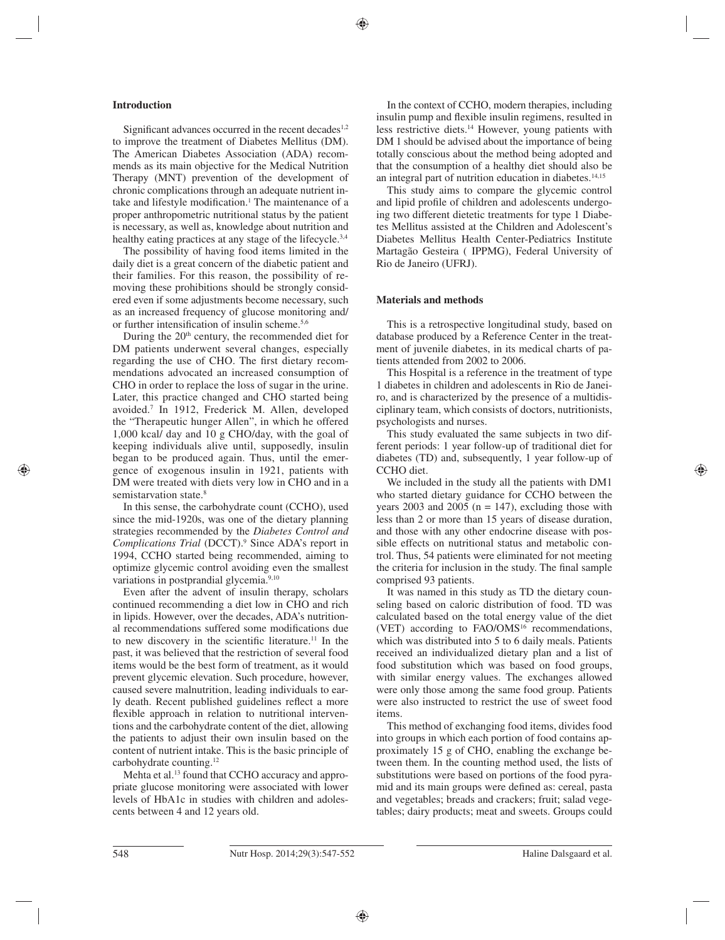## **Introduction**

Significant advances occurred in the recent decades<sup>1,2</sup> to improve the treatment of Diabetes Mellitus (DM). The American Diabetes Association (ADA) recommends as its main objective for the Medical Nutrition Therapy (MNT) prevention of the development of chronic complications through an adequate nutrient intake and lifestyle modification.<sup>1</sup> The maintenance of a proper anthropometric nutritional status by the patient is necessary, as well as, knowledge about nutrition and healthy eating practices at any stage of the lifecycle.<sup>3,4</sup>

The possibility of having food items limited in the daily diet is a great concern of the diabetic patient and their families. For this reason, the possibility of removing these prohibitions should be strongly considered even if some adjustments become necessary, such as an increased frequency of glucose monitoring and/ or further intensification of insulin scheme.<sup>5,6</sup>

During the  $20<sup>th</sup>$  century, the recommended diet for DM patients underwent several changes, especially regarding the use of CHO. The first dietary recommendations advocated an increased consumption of CHO in order to replace the loss of sugar in the urine. Later, this practice changed and CHO started being avoided.7 In 1912, Frederick M. Allen, developed the "Therapeutic hunger Allen", in which he offered 1,000 kcal/ day and 10 g CHO/day, with the goal of keeping individuals alive until, supposedly, insulin began to be produced again. Thus, until the emergence of exogenous insulin in 1921, patients with DM were treated with diets very low in CHO and in a semistarvation state.<sup>8</sup>

In this sense, the carbohydrate count (CCHO), used since the mid-1920s, was one of the dietary planning strategies recommended by the *Diabetes Control and Complications Trial* (DCCT).9 Since ADA's report in 1994, CCHO started being recommended, aiming to optimize glycemic control avoiding even the smallest variations in postprandial glycemia.<sup>9,10</sup>

Even after the advent of insulin therapy, scholars continued recommending a diet low in CHO and rich in lipids. However, over the decades, ADA's nutritional recommendations suffered some modifications due to new discovery in the scientific literature.<sup>11</sup> In the past, it was believed that the restriction of several food items would be the best form of treatment, as it would prevent glycemic elevation. Such procedure, however, caused severe malnutrition, leading individuals to early death. Recent published guidelines reflect a more flexible approach in relation to nutritional interventions and the carbohydrate content of the diet, allowing the patients to adjust their own insulin based on the content of nutrient intake. This is the basic principle of carbohydrate counting.12

Mehta et al.<sup>13</sup> found that CCHO accuracy and appropriate glucose monitoring were associated with lower levels of HbA1c in studies with children and adolescents between 4 and 12 years old.

In the context of CCHO, modern therapies, including insulin pump and flexible insulin regimens, resulted in less restrictive diets.14 However, young patients with DM 1 should be advised about the importance of being totally conscious about the method being adopted and that the consumption of a healthy diet should also be an integral part of nutrition education in diabetes.<sup>14,15</sup>

This study aims to compare the glycemic control and lipid profile of children and adolescents undergoing two different dietetic treatments for type 1 Diabetes Mellitus assisted at the Children and Adolescent's Diabetes Mellitus Health Center-Pediatrics Institute Martagão Gesteira ( IPPMG), Federal University of Rio de Janeiro (UFRJ).

## **Materials and methods**

This is a retrospective longitudinal study, based on database produced by a Reference Center in the treatment of juvenile diabetes, in its medical charts of patients attended from 2002 to 2006.

This Hospital is a reference in the treatment of type 1 diabetes in children and adolescents in Rio de Janeiro, and is characterized by the presence of a multidisciplinary team, which consists of doctors, nutritionists, psychologists and nurses.

This study evaluated the same subjects in two different periods: 1 year follow-up of traditional diet for diabetes (TD) and, subsequently, 1 year follow-up of CCHO diet.

We included in the study all the patients with DM1 who started dietary guidance for CCHO between the years 2003 and 2005 ( $n = 147$ ), excluding those with less than 2 or more than 15 years of disease duration, and those with any other endocrine disease with possible effects on nutritional status and metabolic control. Thus, 54 patients were eliminated for not meeting the criteria for inclusion in the study. The final sample comprised 93 patients.

It was named in this study as TD the dietary counseling based on caloric distribution of food. TD was calculated based on the total energy value of the diet (VET) according to  $FAO/OMS<sup>16</sup>$  recommendations, which was distributed into 5 to 6 daily meals. Patients received an individualized dietary plan and a list of food substitution which was based on food groups, with similar energy values. The exchanges allowed were only those among the same food group. Patients were also instructed to restrict the use of sweet food items.

This method of exchanging food items, divides food into groups in which each portion of food contains approximately 15 g of CHO, enabling the exchange between them. In the counting method used, the lists of substitutions were based on portions of the food pyramid and its main groups were defined as: cereal, pasta and vegetables; breads and crackers; fruit; salad vegetables; dairy products; meat and sweets. Groups could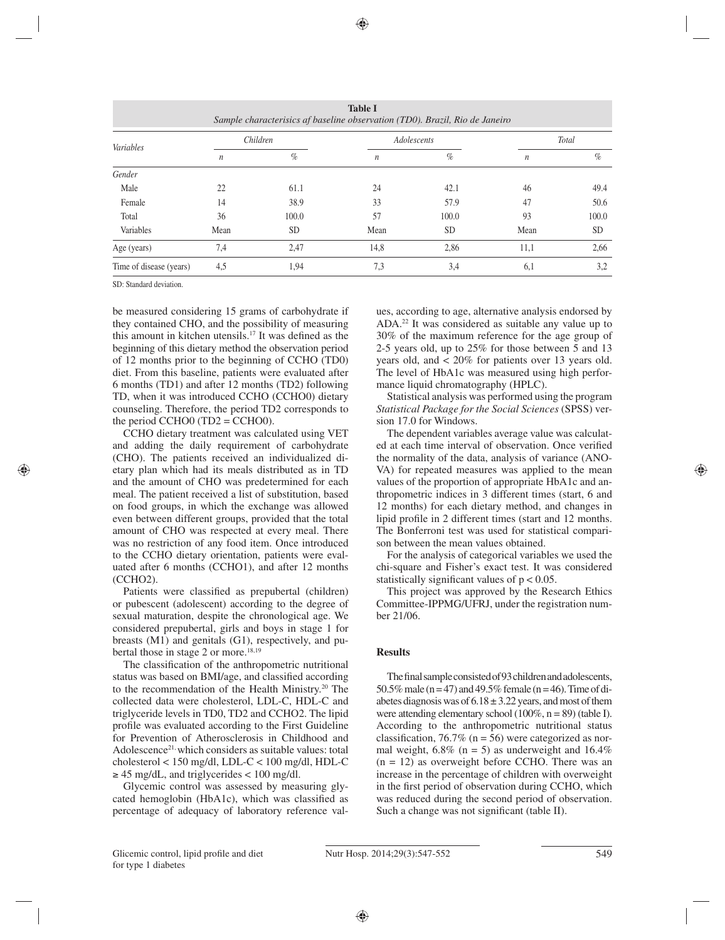| <b>Table I</b><br>Sample characterisics af baseline observation (TD0). Brazil, Rio de Janeiro |                  |           |                  |             |                  |           |  |  |
|-----------------------------------------------------------------------------------------------|------------------|-----------|------------------|-------------|------------------|-----------|--|--|
| Variables                                                                                     | Children         |           |                  | Adolescents | Total            |           |  |  |
|                                                                                               | $\boldsymbol{n}$ | $\%$      | $\boldsymbol{n}$ | $\%$        | $\boldsymbol{n}$ | $\%$      |  |  |
| Gender                                                                                        |                  |           |                  |             |                  |           |  |  |
| Male                                                                                          | 22               | 61.1      | 24               | 42.1        | 46               | 49.4      |  |  |
| Female                                                                                        | 14               | 38.9      | 33               | 57.9        | 47               | 50.6      |  |  |
| Total                                                                                         | 36               | 100.0     | 57               | 100.0       | 93               | 100.0     |  |  |
| Variables                                                                                     | Mean             | <b>SD</b> | Mean             | <b>SD</b>   | Mean             | <b>SD</b> |  |  |
| Age (years)                                                                                   | 7,4              | 2,47      | 14,8             | 2,86        | 11,1             | 2,66      |  |  |
| Time of disease (years)                                                                       | 4,5              | 1,94      | 7,3              | 3,4         | 6,1              | 3,2       |  |  |

SD: Standard deviation.

be measured considering 15 grams of carbohydrate if they contained CHO, and the possibility of measuring this amount in kitchen utensils.<sup>17</sup> It was defined as the beginning of this dietary method the observation period of 12 months prior to the beginning of CCHO (TD0) diet. From this baseline, patients were evaluated after 6 months (TD1) and after 12 months (TD2) following TD, when it was introduced CCHO (CCHO0) dietary counseling. Therefore, the period TD2 corresponds to the period CCHO0 (TD2 = CCHO0).

CCHO dietary treatment was calculated using VET and adding the daily requirement of carbohydrate (CHO). The patients received an individualized dietary plan which had its meals distributed as in TD and the amount of CHO was predetermined for each meal. The patient received a list of substitution, based on food groups, in which the exchange was allowed even between different groups, provided that the total amount of CHO was respected at every meal. There was no restriction of any food item. Once introduced to the CCHO dietary orientation, patients were evaluated after 6 months (CCHO1), and after 12 months (CCHO2).

Patients were classified as prepubertal (children) or pubescent (adolescent) according to the degree of sexual maturation, despite the chronological age. We considered prepubertal, girls and boys in stage 1 for breasts (M1) and genitals (G1), respectively, and pubertal those in stage 2 or more.<sup>18,19</sup>

The classification of the anthropometric nutritional status was based on BMI/age, and classified according to the recommendation of the Health Ministry.<sup>20</sup> The collected data were cholesterol, LDL-C, HDL-C and triglyceride levels in TD0, TD2 and CCHO2. The lipid profile was evaluated according to the First Guideline for Prevention of Atherosclerosis in Childhood and Adolescence<sup>21,</sup> which considers as suitable values: total cholesterol < 150 mg/dl, LDL-C < 100 mg/dl, HDL-C  $\geq 45$  mg/dL, and triglycerides < 100 mg/dl.

Glycemic control was assessed by measuring glycated hemoglobin (HbA1c), which was classified as percentage of adequacy of laboratory reference values, according to age, alternative analysis endorsed by ADA.22 It was considered as suitable any value up to 30% of the maximum reference for the age group of 2-5 years old, up to 25% for those between 5 and 13 years old, and < 20% for patients over 13 years old. The level of HbA1c was measured using high performance liquid chromatography (HPLC).

Statistical analysis was performed using the program *Statistical Package for the Social Sciences* (SPSS) version 17.0 for Windows.

The dependent variables average value was calculated at each time interval of observation. Once verified the normality of the data, analysis of variance (ANO-VA) for repeated measures was applied to the mean values of the proportion of appropriate HbA1c and anthropometric indices in 3 different times (start, 6 and 12 months) for each dietary method, and changes in lipid profile in 2 different times (start and 12 months. The Bonferroni test was used for statistical comparison between the mean values obtained.

For the analysis of categorical variables we used the chi-square and Fisher's exact test. It was considered statistically significant values of  $p < 0.05$ .

This project was approved by the Research Ethics Committee-IPPMG/UFRJ, under the registration number 21/06.

## **Results**

The final sample consisted of 93 children and adolescents, 50.5% male (n = 47) and 49.5% female (n = 46). Time of diabetes diagnosis was of  $6.18 \pm 3.22$  years, and most of them were attending elementary school (100%,  $n = 89$ ) (table I). According to the anthropometric nutritional status classification, 76.7% ( $n = 56$ ) were categorized as normal weight,  $6.8\%$  (n = 5) as underweight and  $16.4\%$  $(n = 12)$  as overweight before CCHO. There was an increase in the percentage of children with overweight in the first period of observation during CCHO, which was reduced during the second period of observation. Such a change was not significant (table II).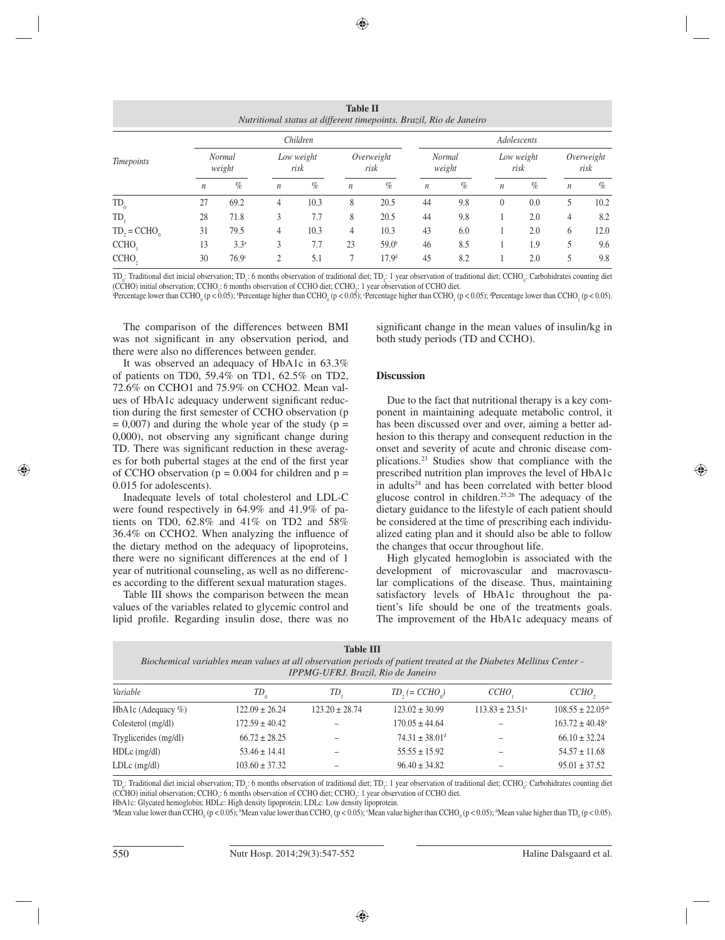|                   |                  |                         |                  |                    | <b>Table II</b>  | Nutritional status at different timepoints. Brazil, Rio de Janeiro |                  |                         |                  |                    |                  |                    |  |
|-------------------|------------------|-------------------------|------------------|--------------------|------------------|--------------------------------------------------------------------|------------------|-------------------------|------------------|--------------------|------------------|--------------------|--|
| Timepoints        | Children         |                         |                  |                    | Adolescents      |                                                                    |                  |                         |                  |                    |                  |                    |  |
|                   |                  | <b>Normal</b><br>weight |                  | Low weight<br>risk |                  | Overweight<br>risk                                                 |                  | <b>Normal</b><br>weight |                  | Low weight<br>risk |                  | Overweight<br>risk |  |
|                   | $\boldsymbol{n}$ | $\%$                    | $\boldsymbol{n}$ | $\%$               | $\boldsymbol{n}$ | $\%$                                                               | $\boldsymbol{n}$ | $\%$                    | $\boldsymbol{n}$ | $\%$               | $\boldsymbol{n}$ | $\%$               |  |
| $TD_0$            | 27               | 69.2                    | 4                | 10.3               | 8                | 20.5                                                               | 44               | 9.8                     | $\theta$         | 0.0                | 5                | 10.2               |  |
| TD,               | 28               | 71.8                    | 3                | 7.7                | 8                | 20.5                                                               | 44               | 9.8                     |                  | 2.0                | 4                | 8.2                |  |
| $TD_2 = CCHO_0$   | 31               | 79.5                    | 4                | 10.3               | 4                | 10.3                                                               | 43               | 6.0                     |                  | 2.0                | 6                | 12.0               |  |
| CCHO,             | 13               | 3.3 <sup>a</sup>        | 3                | 7.7                | 23               | 59.0 <sup>b</sup>                                                  | 46               | 8.5                     |                  | 1.9                | 5                | 9.6                |  |
| CCHO <sub>2</sub> | 30               | 76.9 <sup>c</sup>       | $\overline{c}$   | 5.1                |                  | 17.9 <sup>d</sup>                                                  | 45               | 8.2                     |                  | 2.0                |                  | 9.8                |  |

TD<sub>0</sub>: Traditional diet inicial observation; TD<sub>1</sub>: 6 months observation of traditional diet; TD<sub>2</sub>: 1 year observation of traditional diet; CCHO<sub>0</sub>: Carbohidrates counting diet (CCHO) initial observation; CCHO<sub>1</sub>: 6 months observation of CCHO diet; CCHO<sub>2</sub>: 1 year observation of CCHO diet.

Percentage lower than CCHO<sub>0</sub> (p < 0.05); Percentage higher than CCHO<sub>0</sub> (p < 0.05); Percentage higher than CCHO<sub>1</sub> (p < 0.05);  $\alpha$  ercentage lower than CCHO<sub>1</sub> (p < 0.05).

The comparison of the differences between BMI was not significant in any observation period, and there were also no differences between gender.

significant change in the mean values of insulin/kg in both study periods (TD and CCHO).

It was observed an adequacy of HbA1c in 63.3% of patients on TD0, 59.4% on TD1, 62.5% on TD2, 72.6% on CCHO1 and 75.9% on CCHO2. Mean values of HbA1c adequacy underwent significant reduction during the first semester of CCHO observation (p  $= 0,007$ ) and during the whole year of the study (p  $=$  $0,000$ , not observing any significant change during TD. There was significant reduction in these averages for both pubertal stages at the end of the first year of CCHO observation ( $p = 0.004$  for children and  $p =$ 0.015 for adolescents).

Inadequate levels of total cholesterol and LDL-C were found respectively in 64.9% and 41.9% of patients on TD0, 62.8% and 41% on TD2 and 58%  $36.4\%$  on CCHO2. When analyzing the influence of the dietary method on the adequacy of lipoproteins, there were no significant differences at the end of 1 year of nutritional counseling, as well as no differences according to the different sexual maturation stages.

Table III shows the comparison between the mean values of the variables related to glycemic control and lipid profile. Regarding insulin dose, there was no

**Discussion**

Due to the fact that nutritional therapy is a key component in maintaining adequate metabolic control, it has been discussed over and over, aiming a better adhesion to this therapy and consequent reduction in the onset and severity of acute and chronic disease complications.23 Studies show that compliance with the prescribed nutrition plan improves the level of HbA1c in adults<sup>24</sup> and has been correlated with better blood glucose control in children.25,26 The adequacy of the dietary guidance to the lifestyle of each patient should be considered at the time of prescribing each individualized eating plan and it should also be able to follow the changes that occur throughout life.

High glycated hemoglobin is associated with the development of microvascular and macrovascular complications of the disease. Thus, maintaining satisfactory levels of HbA1c throughout the patient's life should be one of the treatments goals. The improvement of the HbA1c adequacy means of

| <b>Table III</b><br>Biochemical variables mean values at all observation periods of patient treated at the Diabetes Mellitus Center-<br>IPPMG-UFRJ. Brazil, Rio de Janeiro |                    |                    |                                |                            |                            |  |  |
|----------------------------------------------------------------------------------------------------------------------------------------------------------------------------|--------------------|--------------------|--------------------------------|----------------------------|----------------------------|--|--|
| Variable                                                                                                                                                                   | $TD_{\rho}$        | ТD                 | $TD$ , $(= CCHOo)$             | CCHO,                      | $CCHO$ ,                   |  |  |
| HbA1c (Adequacy $\%$ )                                                                                                                                                     | $122.09 \pm 26.24$ | $123.20 \pm 28.74$ | $123.02 \pm 30.99$             | $113.83 \pm 23.51^{\circ}$ | $108.55 \pm 22.05^{ab}$    |  |  |
| Colesterol (mg/dl)                                                                                                                                                         | $172.59 \pm 40.42$ |                    | $170.05 \pm 44.64$             |                            | $163.72 \pm 40.48^{\circ}$ |  |  |
| Tryglicerides (mg/dl)                                                                                                                                                      | $66.72 \pm 28.25$  |                    | $74.31 \pm 38.01$ <sup>d</sup> |                            | $66.10 \pm 32.24$          |  |  |
| $HDLc$ (mg/dl)                                                                                                                                                             | $53.46 \pm 14.41$  |                    | $55.55 \pm 15.92$              |                            | $54.57 \pm 11.68$          |  |  |
| $LDLc$ (mg/dl)                                                                                                                                                             | $103.60 \pm 37.32$ |                    | $96.40 \pm 34.82$              |                            | $95.01 \pm 37.52$          |  |  |

TD<sub>0</sub>: Traditional diet inicial observation; TD<sub>1</sub>: 6 months observation of traditional diet; TD<sub>2</sub>: 1 year observation of traditional diet; CCHO<sub>0</sub>: Carbohidrates counting diet (CCHO) initial observation; CCHO<sub>1</sub>: 6 months observation of CCHO diet; CCHO<sub>2</sub>: 1 year observation of CCHO diet.

HbA1c: Glycated hemoglobin; HDLc: High density lipoprotein; LDLc: Low density lipoprotein.

"Mean value lower than CCHO<sub>0</sub> (p < 0.05); "Mean value lower than CCHO<sub>1</sub> (p < 0.05); "Mean value higher than CCHO<sub>0</sub> (p < 0.05); "Mean value higher than TD<sub>0</sub> (p < 0.05).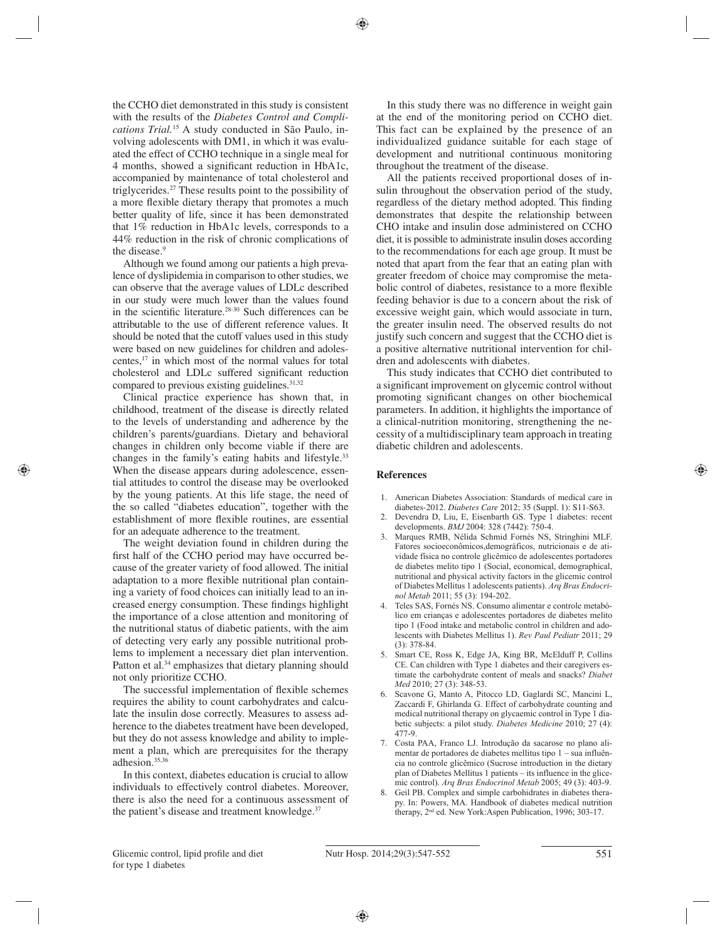the CCHO diet demonstrated in this study is consistent with the results of the *Diabetes Control and Complications Trial.*15 A study conducted in São Paulo, involving adolescents with DM1, in which it was evaluated the effect of CCHO technique in a single meal for 4 months, showed a significant reduction in HbA1c, accompanied by maintenance of total cholesterol and triglycerides.27 These results point to the possibility of a more flexible dietary therapy that promotes a much better quality of life, since it has been demonstrated that 1% reduction in HbA1c levels, corresponds to a 44% reduction in the risk of chronic complications of the disease.9

Although we found among our patients a high prevalence of dyslipidemia in comparison to other studies, we can observe that the average values of LDLc described in our study were much lower than the values found in the scientific literature.<sup>28-30</sup> Such differences can be attributable to the use of different reference values. It should be noted that the cutoff values used in this study were based on new guidelines for children and adolescentes,17 in which most of the normal values for total cholesterol and LDLc suffered significant reduction compared to previous existing guidelines.<sup>31,32</sup>

Clinical practice experience has shown that, in childhood, treatment of the disease is directly related to the levels of understanding and adherence by the children's parents/guardians. Dietary and behavioral changes in children only become viable if there are changes in the family's eating habits and lifestyle.33 When the disease appears during adolescence, essential attitudes to control the disease may be overlooked by the young patients. At this life stage, the need of the so called "diabetes education", together with the establishment of more flexible routines, are essential for an adequate adherence to the treatment.

The weight deviation found in children during the first half of the CCHO period may have occurred because of the greater variety of food allowed. The initial adaptation to a more flexible nutritional plan containing a variety of food choices can initially lead to an increased energy consumption. These findings highlight the importance of a close attention and monitoring of the nutritional status of diabetic patients, with the aim of detecting very early any possible nutritional problems to implement a necessary diet plan intervention. Patton et al.<sup>34</sup> emphasizes that dietary planning should not only prioritize CCHO.

The successful implementation of flexible schemes requires the ability to count carbohydrates and calculate the insulin dose correctly. Measures to assess adherence to the diabetes treatment have been developed, but they do not assess knowledge and ability to implement a plan, which are prerequisites for the therapy adhesion.35,36

In this context, diabetes education is crucial to allow individuals to effectively control diabetes. Moreover, there is also the need for a continuous assessment of the patient's disease and treatment knowledge.<sup>37</sup>

In this study there was no difference in weight gain at the end of the monitoring period on CCHO diet. This fact can be explained by the presence of an individualized guidance suitable for each stage of development and nutritional continuous monitoring throughout the treatment of the disease.

All the patients received proportional doses of insulin throughout the observation period of the study, regardless of the dietary method adopted. This finding demonstrates that despite the relationship between CHO intake and insulin dose administered on CCHO diet, it is possible to administrate insulin doses according to the recommendations for each age group. It must be noted that apart from the fear that an eating plan with greater freedom of choice may compromise the metabolic control of diabetes, resistance to a more flexible feeding behavior is due to a concern about the risk of excessive weight gain, which would associate in turn, the greater insulin need. The observed results do not justify such concern and suggest that the CCHO diet is a positive alternative nutritional intervention for children and adolescents with diabetes.

This study indicates that CCHO diet contributed to a significant improvement on glycemic control without promoting significant changes on other biochemical parameters. In addition, it highlights the importance of a clinical-nutrition monitoring, strengthening the necessity of a multidisciplinary team approach in treating diabetic children and adolescents.

## **References**

- 1. American Diabetes Association: Standards of medical care in diabetes-2012. *Diabetes Care* 2012; 35 (Suppl. 1): S11-S63.
- 2. Devendra D, Liu, E, Eisenbarth GS. Type 1 diabetes: recent developments. *BMJ* 2004: 328 (7442): 750-4.
- 3. Marques RMB, Nélida Schmid Fornés NS, Stringhini MLF. Fatores socioeconômicos,demográficos, nutricionais e de atividade física no controle glicêmico de adolescentes portadores de diabetes melito tipo 1 (Social, economical, demographical, nutritional and physical activity factors in the glicemic control of Diabetes Mellitus 1 adolescents patients). *Arq Bras Endocrinol Metab* 2011; 55 (3): 194-202.
- 4. Teles SAS, Fornés NS. Consumo alimentar e controle metabólico em crianças e adolescentes portadores de diabetes melito tipo 1 (Food intake and metabolic control in children and adolescents with Diabetes Mellitus 1). *Rev Paul Pediatr* 2011; 29 (3): 378-84.
- 5. Smart CE, Ross K, Edge JA, King BR, McElduff P, Collins CE. Can children with Type 1 diabetes and their caregivers estimate the carbohydrate content of meals and snacks? *Diabet Med* 2010; 27 (3): 348-53.
- 6. Scavone G, Manto A, Pitocco LD, Gaglardi SC, Mancini L, Zaccardi F, Ghirlanda G. Effect of carbohydrate counting and medical nutritional therapy on glycaemic control in Type 1 diabetic subjects: a pilot study. *Diabetes Medicine* 2010; 27 (4): 477-9.
- 7. Costa PAA, Franco LJ. Introdução da sacarose no plano alimentar de portadores de diabetes mellitus tipo 1 – sua influência no controle glicêmico (Sucrose introduction in the dietary plan of Diabetes Mellitus 1 patients – its influence in the glicemic control). *Arq Bras Endocrinol Metab* 2005; 49 (3): 403-9.
- 8. Geil PB. Complex and simple carbohidrates in diabetes therapy. In: Powers, MA. Handbook of diabetes medical nutrition therapy, 2nd ed. New York:Aspen Publication, 1996; 303-17.